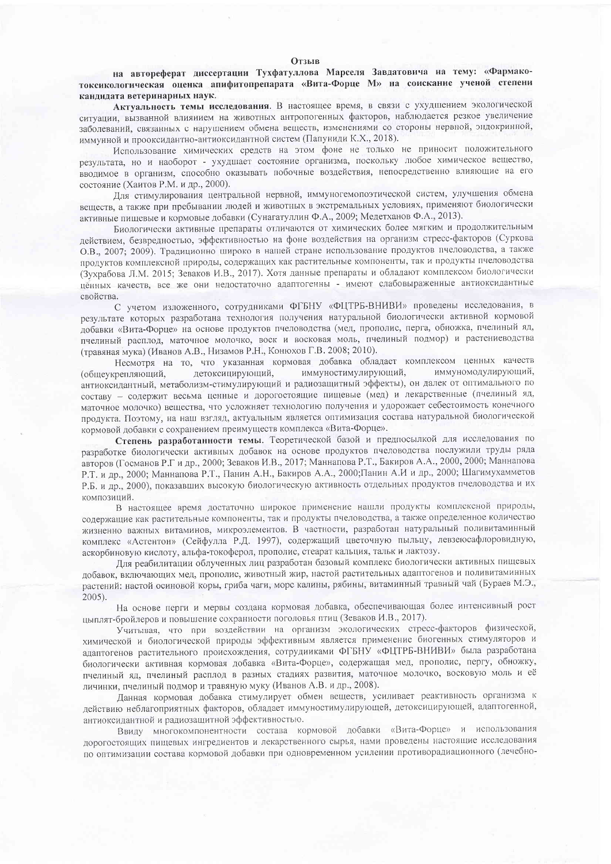## Отзыв

на автореферат диссертации Тухфатуллова Марселя Завдатовича на тему: «Фармакотоксикологическая оценка апифитопрепарата «Вита-Форце М» на соискание ученой степени кандидата ветеринарных наук.

Актуальность темы исследования. В настоящее время, в связи с ухудшением экологической ситуации, вызванной влиянием на животных антропогенных факторов, наблюдается резкое увеличение заболеваний, связанных с нарушением обмена веществ, изменениями со стороны нервной, эндокринной, иммунной и прооксидантно-антиоксидантной систем (Папуниди К.Х., 2018).

Использование химических средств на этом фоне не только не приносит положительного результата, но и наоборот - ухудшает состояние организма, поскольку любое химическое вещество, вводимое в организм, способно оказывать побочные воздействия, непосредственно влияющие на его состояние (Хаитов Р.М. и др., 2000).

Для стимулирования центральной нервной, иммуногемопоэтической систем, улучшения обмена веществ, а также при пребывании людей и животных в экстремальных условиях, применяют биологически активные пищевые и кормовые добавки (Сунагатуллин Ф.А., 2009; Медетханов Ф.А., 2013).

Биологически активные препараты отличаются от химических более мягким и продолжительным действием, безвредностью, эффективностью на фоне воздействия на организм стресс-факторов (Суркова О.В., 2007; 2009). Традиционно широко в нашей стране использование продуктов пчеловодства, а также продуктов комплексной природы, содержащих как растительные компоненты, так и продукты пчеловодства (Зухрабова Л.М. 2015; Зеваков И.В., 2017). Хотя данные препараты и обладают комплексом биологически ценных качеств, все же они недостаточно адаптогенны - имеют слабовыраженные антиоксидантные свойства.

С учетом изложенного, сотрудниками ФГБНУ «ФЦТРБ-ВНИВИ» проведены исследования, в результате которых разработана технология получения натуральной биологически активной кормовой добавки «Вита-Форце» на основе продуктов пчеловодства (мед, прополис, перга, обножка, пчелиный яд, пчелиный расплод, маточное молочко, воск и восковая моль, пчелиный подмор) и растениеводства (травяная мука) (Иванов А.В., Низамов Р.Н., Конюхов Г.В. 2008; 2010).

Несмотря на то, что указанная кормовая добавка обладает комплексом ценных качеств иммуномодулирующий, (общеукрепляющий, детоксицирующий, иммуностимулирующий, антиоксидантный, метаболизм-стимулирующий и радиозащитный эффекты), он далек от оптимального по составу - содержит весьма ценные и дорогостоящие пищевые (мед) и лекарственные (пчелиный яд, маточное молочко) вещества, что усложняет технологию получения и удорожает себестоимость конечного продукта. Поэтому, на наш взгляд, актуальным является оптимизация состава натуральной биологической кормовой добавки с сохранением преимуществ комплекса «Вита-Форце».

Степень разработанности темы. Теоретической базой и предпосылкой для исследования по разработке биологически активных добавок на основе продуктов пчеловодства послужили труды ряда авторов (Госманов Р.Г и др., 2000; Зеваков И.В., 2017; Маннапова Р.Т., Бакиров А.А., 2000, 2000; Маннапова Р.Т. и др., 2000; Маннапова Р.Т., Панин А.Н., Бакиров А.А., 2000; Панин А.И и др., 2000; Шагимухамметов Р.Б. и др., 2000), показавших высокую биологическую активность отдельных продуктов пчеловодства и их композиций.

В настоящее время достаточно широкое применение нашли продукты комплексной природы, содержащие как растительные компоненты, так и продукты пчеловодства, а также определенное количество жизненно важных витаминов, микроэлементов. В частности, разработан натуральный поливитаминный комплекс «Астентон» (Сейфулла Р.Д. 1997), содержащий цветочную пыльцу, левзеюсафлоровидную, аскорбиновую кислоту, альфа-токоферол, прополис, стеарат кальция, тальк и лактозу.

Для реабилитации облученных лиц разработан базовый комплекс биологически активных пищевых добавок, включающих мед, прополис, животный жир, настой растительных адаптогенов и поливитаминных растений: настой осиновой коры, гриба чаги, морс калины, рябины, витаминный травный чай (Бураев М.Э.,  $2005$ ).

На основе перги и мервы создана кормовая добавка, обеспечивающая более интенсивный рост цыплят-бройлеров и повышение сохранности поголовья птиц (Зеваков И.В., 2017).

Учитывая, что при воздействии на организм экологических стресс-факторов физической, химической и биологической природы эффективным является применение биогенных стимуляторов и адаптогенов растительного происхождения, сотрудниками ФГБНУ «ФЦТРБ-ВНИВИ» была разработана биологически активная кормовая добавка «Вита-Форце», содержащая мед, прополис, пергу, обножку, пчелиный яд, пчелиный расплод в разных стадиях развития, маточное молочко, восковую моль и её личинки, пчелиный подмор и травяную муку (Иванов А.В. и др., 2008).

Данная кормовая добавка стимулирует обмен веществ, усиливает реактивность организма к действию неблагоприятных факторов, обладает иммуностимулирующей, детоксицирующей, адаптогенной, антиоксидантной и радиозащитной эффективностью.

Ввиду многокомпонентности состава кормовой добавки «Вита-Форце» и использования дорогостоящих пищевых ингредиентов и лекарственного сырья, нами проведены настоящие исследования по оптимизации состава кормовой добавки при одновременном усилении противорадиационного (лечебно